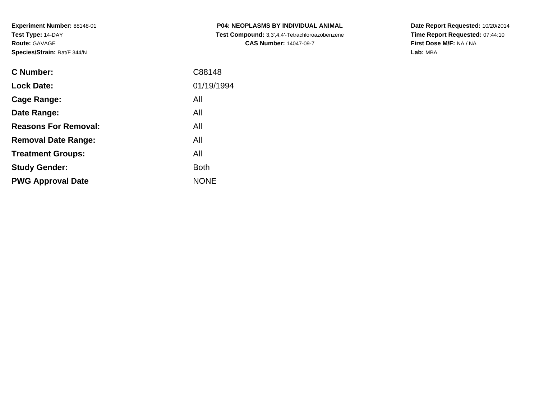| <b>C Number:</b>            | C88148      |
|-----------------------------|-------------|
| <b>Lock Date:</b>           | 01/19/1994  |
| <b>Cage Range:</b>          | All         |
| Date Range:                 | All         |
| <b>Reasons For Removal:</b> | All         |
| <b>Removal Date Range:</b>  | All         |
| <b>Treatment Groups:</b>    | All         |
| <b>Study Gender:</b>        | <b>Both</b> |
| <b>PWG Approval Date</b>    | <b>NONE</b> |
|                             |             |

**P04: NEOPLASMS BY INDIVIDUAL ANIMAL Test Compound:** 3,3',4,4'-Tetrachloroazobenzene**CAS Number:** 14047-09-7

**Date Report Requested:** 10/20/2014 **Time Report Requested:** 07:44:10**First Dose M/F:** NA / NA**Lab:** MBA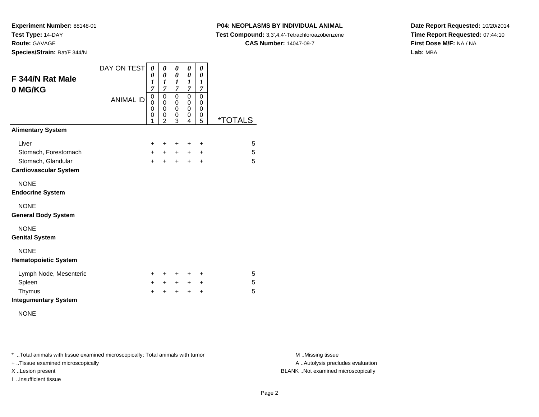**Experiment Number:** 88148-01**Test Type:** 14-DAY**Route:** GAVAGE

**Species/Strain:** Rat/F 344/N

### **P04: NEOPLASMS BY INDIVIDUAL ANIMAL**

**Test Compound:** 3,3',4,4'-Tetrachloroazobenzene

**CAS Number:** 14047-09-7

**Date Report Requested:** 10/20/2014**Time Report Requested:** 07:44:10**First Dose M/F:** NA / NA**Lab:** MBA

| F 344/N Rat Male<br>0 MG/KG  | DAY ON TEST<br><b>ANIMAL ID</b> | 0<br>0<br>1<br>$\overline{7}$<br>0<br>$\mathbf 0$<br>0<br>0 | 0<br>0<br>$\boldsymbol{l}$<br>$\overline{7}$<br>0<br>$\mathbf 0$<br>$\mathbf 0$<br>0 | 0<br>0<br>1<br>$\overline{7}$<br>0<br>0<br>0<br>0 | 0<br>0<br>$\boldsymbol{l}$<br>$\overline{7}$<br>0<br>0<br>$\mathbf 0$<br>0 | 0<br>0<br>$\boldsymbol{l}$<br>7<br>0<br>$\mathbf 0$<br>$\mathbf 0$<br>0 |                       |
|------------------------------|---------------------------------|-------------------------------------------------------------|--------------------------------------------------------------------------------------|---------------------------------------------------|----------------------------------------------------------------------------|-------------------------------------------------------------------------|-----------------------|
|                              |                                 | 1                                                           | $\overline{2}$                                                                       | 3                                                 | 4                                                                          | 5                                                                       | <i><b>*TOTALS</b></i> |
| <b>Alimentary System</b>     |                                 |                                                             |                                                                                      |                                                   |                                                                            |                                                                         |                       |
| Liver                        |                                 | +                                                           | +                                                                                    | +                                                 | +                                                                          | +                                                                       | 5                     |
| Stomach, Forestomach         |                                 | $+$                                                         | $+$                                                                                  | $+$                                               | $+$                                                                        | $\ddot{}$                                                               | 5                     |
| Stomach, Glandular           |                                 | $+$                                                         | $+$                                                                                  | $+$                                               | $+$                                                                        | $\ddot{}$                                                               | 5                     |
| <b>Cardiovascular System</b> |                                 |                                                             |                                                                                      |                                                   |                                                                            |                                                                         |                       |
| <b>NONE</b>                  |                                 |                                                             |                                                                                      |                                                   |                                                                            |                                                                         |                       |
| <b>Endocrine System</b>      |                                 |                                                             |                                                                                      |                                                   |                                                                            |                                                                         |                       |
| <b>NONE</b>                  |                                 |                                                             |                                                                                      |                                                   |                                                                            |                                                                         |                       |
| <b>General Body System</b>   |                                 |                                                             |                                                                                      |                                                   |                                                                            |                                                                         |                       |
| <b>NONE</b>                  |                                 |                                                             |                                                                                      |                                                   |                                                                            |                                                                         |                       |
| <b>Genital System</b>        |                                 |                                                             |                                                                                      |                                                   |                                                                            |                                                                         |                       |
| <b>NONE</b>                  |                                 |                                                             |                                                                                      |                                                   |                                                                            |                                                                         |                       |
| <b>Hematopoietic System</b>  |                                 |                                                             |                                                                                      |                                                   |                                                                            |                                                                         |                       |
| Lymph Node, Mesenteric       |                                 | ٠                                                           | ÷                                                                                    | ÷                                                 | ÷                                                                          | ÷                                                                       | 5                     |
| Spleen                       |                                 | $+$                                                         | $+$                                                                                  | $+$                                               | $+$                                                                        | $\ddot{}$                                                               | 5                     |
| Thymus                       |                                 | +                                                           | +                                                                                    | $\ddot{}$                                         | $\ddot{}$                                                                  | +                                                                       | 5                     |
| <b>Integumentary System</b>  |                                 |                                                             |                                                                                      |                                                   |                                                                            |                                                                         |                       |

NONE

\* ..Total animals with tissue examined microscopically; Total animals with tumor **M** . Missing tissue M ..Missing tissue

+ ..Tissue examined microscopically

I ..Insufficient tissue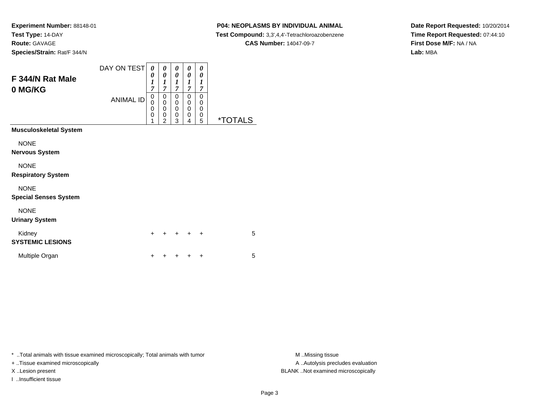#### **P04: NEOPLASMS BY INDIVIDUAL ANIMAL**

**Test Compound:** 3,3',4,4'-Tetrachloroazobenzene

**CAS Number:** 14047-09-7

**Date Report Requested:** 10/20/2014**Time Report Requested:** 07:44:10**First Dose M/F:** NA / NA**Lab:** MBA

| F 344/N Rat Male<br>0 MG/KG                 | DAY ON TEST<br><b>ANIMAL ID</b> | 0<br>0<br>$\boldsymbol{l}$<br>7<br>$\pmb{0}$<br>0<br>0<br>$\mathbf 0$<br>1 | 0<br>$\pmb{\theta}$<br>$\boldsymbol{l}$<br>$\overline{7}$<br>$\pmb{0}$<br>$\bar{0}$<br>$\bar{0}$<br>$\pmb{0}$<br>$\overline{2}$ | 0<br>0<br>$\boldsymbol{l}$<br>$\overline{7}$<br>0<br>0<br>$\mathsf 0$<br>$\mathbf 0$<br>3 | 0<br>0<br>$\boldsymbol{l}$<br>$\boldsymbol{7}$<br>0<br>$\pmb{0}$<br>$\pmb{0}$<br>$\pmb{0}$<br>4 | 0<br>0<br>1<br>$\overline{7}$<br>$\mathbf 0$<br>$\mathbf 0$<br>$\mathbf 0$<br>$\pmb{0}$<br>5 | <i><b>*TOTALS</b></i> |
|---------------------------------------------|---------------------------------|----------------------------------------------------------------------------|---------------------------------------------------------------------------------------------------------------------------------|-------------------------------------------------------------------------------------------|-------------------------------------------------------------------------------------------------|----------------------------------------------------------------------------------------------|-----------------------|
| Musculoskeletal System                      |                                 |                                                                            |                                                                                                                                 |                                                                                           |                                                                                                 |                                                                                              |                       |
| <b>NONE</b><br>Nervous System               |                                 |                                                                            |                                                                                                                                 |                                                                                           |                                                                                                 |                                                                                              |                       |
| <b>NONE</b><br><b>Respiratory System</b>    |                                 |                                                                            |                                                                                                                                 |                                                                                           |                                                                                                 |                                                                                              |                       |
| <b>NONE</b><br><b>Special Senses System</b> |                                 |                                                                            |                                                                                                                                 |                                                                                           |                                                                                                 |                                                                                              |                       |
| <b>NONE</b><br><b>Urinary System</b>        |                                 |                                                                            |                                                                                                                                 |                                                                                           |                                                                                                 |                                                                                              |                       |
| Kidney<br><b>SYSTEMIC LESIONS</b>           |                                 | $\ddot{}$                                                                  |                                                                                                                                 |                                                                                           |                                                                                                 | +                                                                                            | 5                     |
| Multiple Organ                              |                                 | $\ddot{}$                                                                  |                                                                                                                                 |                                                                                           |                                                                                                 | +                                                                                            | 5                     |

\* ..Total animals with tissue examined microscopically; Total animals with tumor **M** . Missing tissue M ..Missing tissue

+ ..Tissue examined microscopically

I ..Insufficient tissue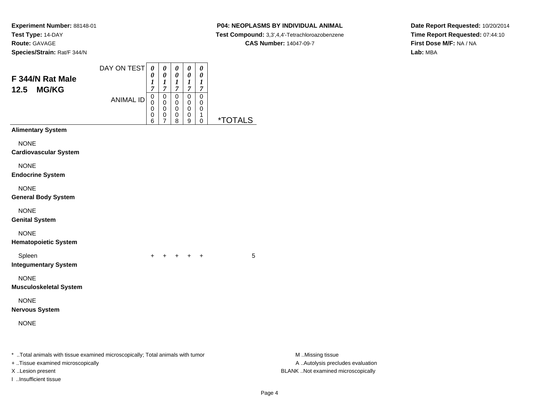#### **P04: NEOPLASMS BY INDIVIDUAL ANIMAL**

**Test Compound:** 3,3',4,4'-Tetrachloroazobenzene

**CAS Number:** 14047-09-7

**Date Report Requested:** 10/20/2014**Time Report Requested:** 07:44:10**First Dose M/F:** NA / NA**Lab:** MBA

| F 344/N Rat Male<br><b>MG/KG</b><br>12.5                                                                                                                          |                  | $\boldsymbol{\theta}$<br>1<br>$\overline{7}$ | 0<br>$\frac{1}{7}$                                           | 0<br>1<br>$\boldsymbol{7}$                      | $\pmb{\theta}$<br>$\boldsymbol{l}$<br>$\boldsymbol{7}$ | 0<br>1<br>$\overline{7}$                |                       |                                                                                             |  |
|-------------------------------------------------------------------------------------------------------------------------------------------------------------------|------------------|----------------------------------------------|--------------------------------------------------------------|-------------------------------------------------|--------------------------------------------------------|-----------------------------------------|-----------------------|---------------------------------------------------------------------------------------------|--|
|                                                                                                                                                                   | <b>ANIMAL ID</b> | $\pmb{0}$<br>$\pmb{0}$<br>0<br>0<br>6        | $\pmb{0}$<br>$\mathbf 0$<br>$\pmb{0}$<br>0<br>$\overline{7}$ | $\pmb{0}$<br>$\mathbf 0$<br>$\pmb{0}$<br>0<br>8 | $\mathbf 0$<br>0<br>$\pmb{0}$<br>0<br>9                | $\pmb{0}$<br>0<br>0<br>1<br>$\mathbf 0$ | <i><b>*TOTALS</b></i> |                                                                                             |  |
| <b>Alimentary System</b>                                                                                                                                          |                  |                                              |                                                              |                                                 |                                                        |                                         |                       |                                                                                             |  |
| <b>NONE</b><br><b>Cardiovascular System</b>                                                                                                                       |                  |                                              |                                                              |                                                 |                                                        |                                         |                       |                                                                                             |  |
| <b>NONE</b><br><b>Endocrine System</b>                                                                                                                            |                  |                                              |                                                              |                                                 |                                                        |                                         |                       |                                                                                             |  |
| <b>NONE</b><br><b>General Body System</b>                                                                                                                         |                  |                                              |                                                              |                                                 |                                                        |                                         |                       |                                                                                             |  |
| <b>NONE</b><br><b>Genital System</b>                                                                                                                              |                  |                                              |                                                              |                                                 |                                                        |                                         |                       |                                                                                             |  |
| <b>NONE</b><br><b>Hematopoietic System</b>                                                                                                                        |                  |                                              |                                                              |                                                 |                                                        |                                         |                       |                                                                                             |  |
| Spleen<br><b>Integumentary System</b>                                                                                                                             |                  | $\pm$                                        |                                                              |                                                 | + + + +                                                |                                         | 5                     |                                                                                             |  |
| <b>NONE</b><br><b>Musculoskeletal System</b>                                                                                                                      |                  |                                              |                                                              |                                                 |                                                        |                                         |                       |                                                                                             |  |
| <b>NONE</b><br><b>Nervous System</b>                                                                                                                              |                  |                                              |                                                              |                                                 |                                                        |                                         |                       |                                                                                             |  |
| <b>NONE</b>                                                                                                                                                       |                  |                                              |                                                              |                                                 |                                                        |                                         |                       |                                                                                             |  |
| *  Total animals with tissue examined microscopically; Total animals with tumor<br>+ Tissue examined microscopically<br>X Lesion present<br>I Insufficient tissue |                  |                                              |                                                              |                                                 |                                                        |                                         |                       | M Missing tissue<br>A  Autolysis precludes evaluation<br>BLANK Not examined microscopically |  |

DAY ON TEST*00000*

Page 4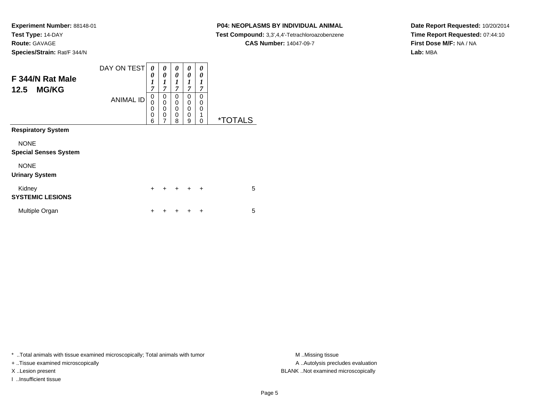# **P04: NEOPLASMS BY INDIVIDUAL ANIMAL**

**Test Compound:** 3,3',4,4'-Tetrachloroazobenzene

**CAS Number:** 14047-09-7

**Date Report Requested:** 10/20/2014**Time Report Requested:** 07:44:10**First Dose M/F:** NA / NA**Lab:** MBA

| F 344/N Rat Male<br><b>MG/KG</b><br>12.5    | DAY ON TEST<br><b>ANIMAL ID</b> | 0<br>0<br>$\boldsymbol{l}$<br>$\overline{7}$<br>0<br>$\mathbf 0$<br>$\mathbf 0$<br>$\mathbf 0$<br>6 | 0<br>0<br>$\boldsymbol{l}$<br>$\overline{7}$<br>0<br>$\mathbf 0$<br>$\mathbf 0$<br>$\mathbf 0$<br>7 | 0<br>0<br>1<br>7<br>$\Omega$<br>$\mathbf 0$<br>0<br>0<br>8 | 0<br>0<br>1<br>$\overline{7}$<br>$\Omega$<br>$\mathbf 0$<br>$\Omega$<br>$\mathbf 0$<br>9 | 0<br>0<br>1<br>7<br>0<br>0<br>0<br>1<br>0 | <i><b>*TOTALS</b></i> |
|---------------------------------------------|---------------------------------|-----------------------------------------------------------------------------------------------------|-----------------------------------------------------------------------------------------------------|------------------------------------------------------------|------------------------------------------------------------------------------------------|-------------------------------------------|-----------------------|
| <b>Respiratory System</b>                   |                                 |                                                                                                     |                                                                                                     |                                                            |                                                                                          |                                           |                       |
| <b>NONE</b><br><b>Special Senses System</b> |                                 |                                                                                                     |                                                                                                     |                                                            |                                                                                          |                                           |                       |
| <b>NONE</b><br><b>Urinary System</b>        |                                 |                                                                                                     |                                                                                                     |                                                            |                                                                                          |                                           |                       |
| Kidney<br><b>SYSTEMIC LESIONS</b>           |                                 | $\ddot{}$                                                                                           | $\div$                                                                                              | $+$                                                        | $\ddot{}$                                                                                | $\ddot{}$                                 | 5                     |
| Multiple Organ                              |                                 | +                                                                                                   |                                                                                                     |                                                            |                                                                                          | +                                         | 5                     |

\* ..Total animals with tissue examined microscopically; Total animals with tumor **M** . Missing tissue M ..Missing tissue

+ ..Tissue examined microscopically

I ..Insufficient tissue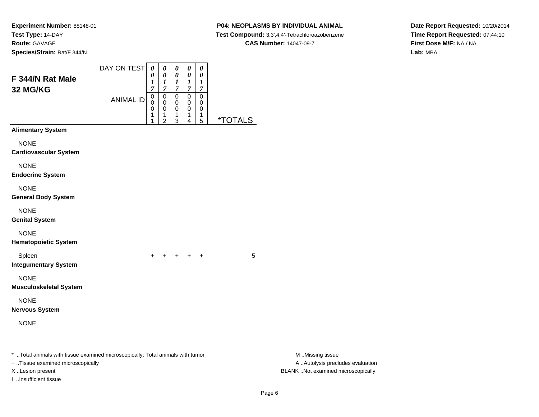## **P04: NEOPLASMS BY INDIVIDUAL ANIMAL**

**Test Compound:** 3,3',4,4'-Tetrachloroazobenzene

**Date Report Requested:** 10/20/2014**Time Report Requested:** 07:44:10**First Dose M/F:** NA / NA**Lab:** MBA

#### **CAS Number:** 14047-09-7

| F 344/N Rat Male                                                                                                    | DAY ON TEST      | 0<br>$\theta$<br>1         | $\boldsymbol{\theta}$<br>0<br>1         | 0<br>0<br>1                             | 0<br>0<br>1                             | $\boldsymbol{\theta}$<br>0<br>1 |                       |                                                       |  |
|---------------------------------------------------------------------------------------------------------------------|------------------|----------------------------|-----------------------------------------|-----------------------------------------|-----------------------------------------|---------------------------------|-----------------------|-------------------------------------------------------|--|
| 32 MG/KG                                                                                                            | <b>ANIMAL ID</b> | 7<br>0<br>0<br>0<br>1<br>1 | 7<br>0<br>0<br>0<br>1<br>$\overline{2}$ | $\overline{7}$<br>0<br>0<br>0<br>1<br>3 | $\overline{7}$<br>0<br>0<br>0<br>1<br>4 | 7<br>0<br>0<br>0<br>1<br>5      | <i><b>*TOTALS</b></i> |                                                       |  |
| <b>Alimentary System</b>                                                                                            |                  |                            |                                         |                                         |                                         |                                 |                       |                                                       |  |
| <b>NONE</b><br><b>Cardiovascular System</b>                                                                         |                  |                            |                                         |                                         |                                         |                                 |                       |                                                       |  |
| <b>NONE</b><br><b>Endocrine System</b>                                                                              |                  |                            |                                         |                                         |                                         |                                 |                       |                                                       |  |
| <b>NONE</b><br><b>General Body System</b>                                                                           |                  |                            |                                         |                                         |                                         |                                 |                       |                                                       |  |
| <b>NONE</b><br><b>Genital System</b>                                                                                |                  |                            |                                         |                                         |                                         |                                 |                       |                                                       |  |
| <b>NONE</b><br><b>Hematopoietic System</b>                                                                          |                  |                            |                                         |                                         |                                         |                                 |                       |                                                       |  |
| Spleen<br><b>Integumentary System</b>                                                                               |                  | $\ddot{}$                  |                                         |                                         | $+$ $+$ $+$ $+$                         |                                 | 5                     |                                                       |  |
| <b>NONE</b><br><b>Musculoskeletal System</b>                                                                        |                  |                            |                                         |                                         |                                         |                                 |                       |                                                       |  |
| <b>NONE</b><br><b>Nervous System</b>                                                                                |                  |                            |                                         |                                         |                                         |                                 |                       |                                                       |  |
| <b>NONE</b>                                                                                                         |                  |                            |                                         |                                         |                                         |                                 |                       |                                                       |  |
| * Total animals with tissue examined microscopically; Total animals with tumor<br>+ Tissue examined microscopically |                  |                            |                                         |                                         |                                         |                                 |                       | M Missing tissue<br>A  Autolysis precludes evaluation |  |
| X Lesion present                                                                                                    |                  |                            |                                         |                                         |                                         |                                 |                       | BLANK Not examined microscopically                    |  |

I ..Insufficient tissue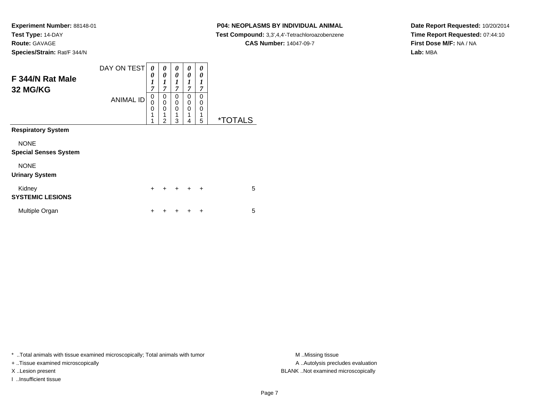# **P04: NEOPLASMS BY INDIVIDUAL ANIMAL**

 **Test Compound:** 3,3',4,4'-Tetrachloroazobenzene**CAS Number:** 14047-09-7

**Date Report Requested:** 10/20/2014**Time Report Requested:** 07:44:10**First Dose M/F:** NA / NA**Lab:** MBA

| Species/Strain: Rat/F 344/N  |                  |             |             |                            |             |                            |  |
|------------------------------|------------------|-------------|-------------|----------------------------|-------------|----------------------------|--|
|                              | DAY ON TEST      | 0           | 0<br>0      | $\boldsymbol{\theta}$<br>0 | 0<br>0      | $\boldsymbol{\theta}$<br>0 |  |
| F 344/N Rat Male<br>32 MG/KG |                  | 7           | 7           | 7                          | 7           |                            |  |
|                              | <b>ANIMAL ID</b> | 0<br>0<br>U | 0<br>0<br>0 | 0<br>0<br>0                | 0<br>0<br>0 | 0<br>0<br>0                |  |
|                              |                  |             | 4<br>ົ      | ◢<br>3                     | ◢           | и<br>5                     |  |

**Respiratory System**

NONE

#### **Special Senses System**

NONE

#### **Urinary System**

| Kidnev<br><b>SYSTEMIC LESIONS</b> |  | + + + + + |  | 5 |
|-----------------------------------|--|-----------|--|---|
| Multiple Organ                    |  | + + + + + |  | 5 |

\* ..Total animals with tissue examined microscopically; Total animals with tumor **M** ...Missing tissue M ...Missing tissue

+ ..Tissue examined microscopically

I ..Insufficient tissue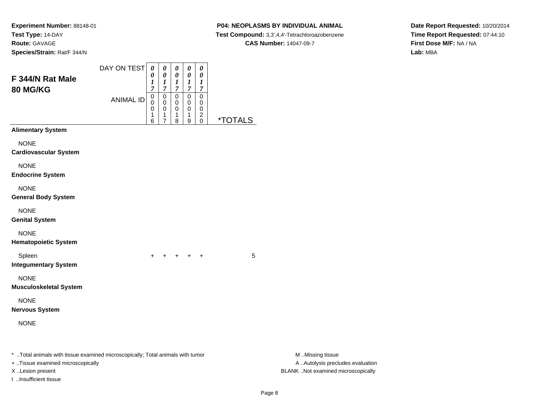# **P04: NEOPLASMS BY INDIVIDUAL ANIMAL**

**Test Compound:** 3,3',4,4'-Tetrachloroazobenzene

**Date Report Requested:** 10/20/2014**Time Report Requested:** 07:44:10**First Dose M/F:** NA / NA**Lab:** MBA

# **CAS Number:** 14047-09-7

| F 344/N Rat Male<br>80 MG/KG                                                                                        | DAY ON TEST      | 0<br>0<br>$\boldsymbol{l}$<br>$\overline{7}$ | 0<br>0<br>$\boldsymbol{l}$<br>$\overline{7}$               | 0<br>0<br>$\boldsymbol{l}$<br>$\boldsymbol{7}$       | 0<br>$\pmb{\theta}$<br>$\boldsymbol{l}$<br>$\overline{7}$ | 0<br>$\boldsymbol{\theta}$<br>$\boldsymbol{l}$<br>$\boldsymbol{7}$ |                       |                                                       |
|---------------------------------------------------------------------------------------------------------------------|------------------|----------------------------------------------|------------------------------------------------------------|------------------------------------------------------|-----------------------------------------------------------|--------------------------------------------------------------------|-----------------------|-------------------------------------------------------|
|                                                                                                                     | <b>ANIMAL ID</b> | $\mathbf 0$<br>$\pmb{0}$<br>0<br>1<br>6      | $\pmb{0}$<br>$\pmb{0}$<br>$\pmb{0}$<br>1<br>$\overline{7}$ | $\overline{0}$<br>$\mathbf 0$<br>$\pmb{0}$<br>1<br>8 | $\mathbf 0$<br>0<br>0<br>$\overline{1}$<br>9              | $\pmb{0}$<br>0<br>0<br>$^2_{\rm 0}$                                | <i><b>*TOTALS</b></i> |                                                       |
| <b>Alimentary System</b>                                                                                            |                  |                                              |                                                            |                                                      |                                                           |                                                                    |                       |                                                       |
| <b>NONE</b><br><b>Cardiovascular System</b>                                                                         |                  |                                              |                                                            |                                                      |                                                           |                                                                    |                       |                                                       |
| <b>NONE</b><br><b>Endocrine System</b>                                                                              |                  |                                              |                                                            |                                                      |                                                           |                                                                    |                       |                                                       |
| <b>NONE</b><br><b>General Body System</b>                                                                           |                  |                                              |                                                            |                                                      |                                                           |                                                                    |                       |                                                       |
| <b>NONE</b><br><b>Genital System</b>                                                                                |                  |                                              |                                                            |                                                      |                                                           |                                                                    |                       |                                                       |
| <b>NONE</b><br><b>Hematopoietic System</b>                                                                          |                  |                                              |                                                            |                                                      |                                                           |                                                                    |                       |                                                       |
| Spleen<br><b>Integumentary System</b>                                                                               |                  |                                              |                                                            |                                                      |                                                           | $\ddot{}$                                                          | 5                     |                                                       |
| <b>NONE</b><br><b>Musculoskeletal System</b>                                                                        |                  |                                              |                                                            |                                                      |                                                           |                                                                    |                       |                                                       |
| <b>NONE</b><br><b>Nervous System</b>                                                                                |                  |                                              |                                                            |                                                      |                                                           |                                                                    |                       |                                                       |
| <b>NONE</b>                                                                                                         |                  |                                              |                                                            |                                                      |                                                           |                                                                    |                       |                                                       |
| * Total animals with tissue examined microscopically; Total animals with tumor<br>+ Tissue examined microscopically |                  |                                              |                                                            |                                                      |                                                           |                                                                    |                       | M Missing tissue<br>A  Autolysis precludes evaluation |

I ..Insufficient tissue

M ..Missing tissue X ..Lesion present BLANK ..Not examined microscopically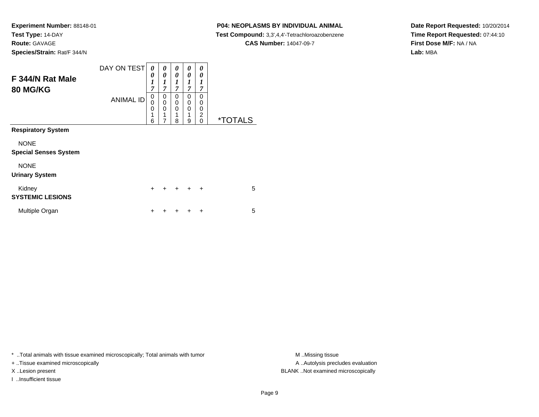# **P04: NEOPLASMS BY INDIVIDUAL ANIMAL**

 **Test Compound:** 3,3',4,4'-Tetrachloroazobenzene**CAS Number:** 14047-09-7

**Date Report Requested:** 10/20/2014**Time Report Requested:** 07:44:10**First Dose M/F:** NA / NA**Lab:** MBA

| F 344/N Rat Male<br><b>80 MG/KG</b>         | DAY ON TEST      | 0<br>0<br>1<br>$\overline{7}$ | 0<br>$\theta$<br>1<br>$\overline{7}$      | 0<br>$\boldsymbol{\theta}$<br>$\boldsymbol{l}$<br>$\overline{7}$ | 0<br>$\theta$<br>1<br>7 | 0<br>0<br>1<br>$\overline{7}$                    |                       |
|---------------------------------------------|------------------|-------------------------------|-------------------------------------------|------------------------------------------------------------------|-------------------------|--------------------------------------------------|-----------------------|
|                                             | <b>ANIMAL ID</b> | 0<br>0<br>0<br>1<br>6         | 0<br>$\mathbf 0$<br>$\mathbf 0$<br>1<br>7 | 0<br>0<br>0<br>1<br>8                                            | 0<br>0<br>0<br>1<br>9   | $\Omega$<br>0<br>0<br>$\overline{2}$<br>$\Omega$ | <i><b>*TOTALS</b></i> |
| <b>Respiratory System</b>                   |                  |                               |                                           |                                                                  |                         |                                                  |                       |
| <b>NONE</b><br><b>Special Senses System</b> |                  |                               |                                           |                                                                  |                         |                                                  |                       |
| <b>NONE</b><br><b>Urinary System</b>        |                  |                               |                                           |                                                                  |                         |                                                  |                       |
| Kidney<br><b>SYSTEMIC LESIONS</b>           |                  | $\ddot{}$                     | $\div$                                    | $+$                                                              | $\ddot{}$               | $\ddot{}$                                        | 5                     |
| Multiple Organ                              |                  | +                             |                                           |                                                                  |                         | ÷                                                | 5                     |

\* ..Total animals with tissue examined microscopically; Total animals with tumor **M** . Missing tissue M ..Missing tissue

+ ..Tissue examined microscopically

I ..Insufficient tissue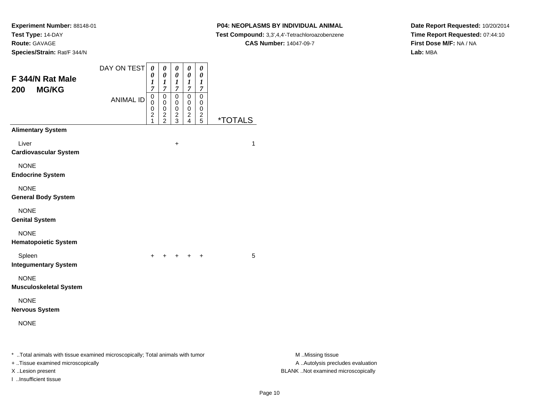#### **P04: NEOPLASMS BY INDIVIDUAL ANIMAL**

**Test Compound:** 3,3',4,4'-Tetrachloroazobenzene

**CAS Number:** 14047-09-7

**Date Report Requested:** 10/20/2014**Time Report Requested:** 07:44:10**First Dose M/F:** NA / NA**Lab:** MBA

| F 344/N Rat Male<br><b>MG/KG</b><br>200                                                                             | DAY ON TEST      | $\pmb{\theta}$<br>0<br>1<br>$\overline{7}$ | $\pmb{\theta}$<br>0<br>1<br>$\overline{7}$               | 0<br>$\boldsymbol{\theta}$<br>$\frac{1}{7}$    | $\pmb{\theta}$<br>$\pmb{\theta}$<br>$\frac{1}{7}$ | $\pmb{\theta}$<br>$\pmb{\theta}$<br>$\boldsymbol{l}$<br>$\boldsymbol{7}$ |                       |                                                       |
|---------------------------------------------------------------------------------------------------------------------|------------------|--------------------------------------------|----------------------------------------------------------|------------------------------------------------|---------------------------------------------------|--------------------------------------------------------------------------|-----------------------|-------------------------------------------------------|
|                                                                                                                     | <b>ANIMAL ID</b> | $\mathbf 0$<br>0<br>0<br>2<br>1            | $\mathbf 0$<br>$\mathbf 0$<br>$\pmb{0}$<br>$\frac{2}{2}$ | $\pmb{0}$<br>0<br>$\mathbf 0$<br>$\frac{2}{3}$ | $\overline{0}$<br>0<br>$\pmb{0}$<br>$\frac{2}{4}$ | $\overline{0}$<br>0<br>$\mathbf 0$<br>$\frac{2}{5}$                      | <i><b>*TOTALS</b></i> |                                                       |
| <b>Alimentary System</b>                                                                                            |                  |                                            |                                                          |                                                |                                                   |                                                                          |                       |                                                       |
| Liver<br><b>Cardiovascular System</b>                                                                               |                  |                                            |                                                          | $\boldsymbol{+}$                               |                                                   |                                                                          | 1                     |                                                       |
| <b>NONE</b><br><b>Endocrine System</b>                                                                              |                  |                                            |                                                          |                                                |                                                   |                                                                          |                       |                                                       |
| <b>NONE</b><br><b>General Body System</b>                                                                           |                  |                                            |                                                          |                                                |                                                   |                                                                          |                       |                                                       |
| <b>NONE</b><br><b>Genital System</b>                                                                                |                  |                                            |                                                          |                                                |                                                   |                                                                          |                       |                                                       |
| <b>NONE</b><br><b>Hematopoietic System</b>                                                                          |                  |                                            |                                                          |                                                |                                                   |                                                                          |                       |                                                       |
| Spleen<br><b>Integumentary System</b>                                                                               |                  | $+$                                        |                                                          | $+$                                            | $+$                                               | $\ddot{}$                                                                | 5                     |                                                       |
| <b>NONE</b><br><b>Musculoskeletal System</b>                                                                        |                  |                                            |                                                          |                                                |                                                   |                                                                          |                       |                                                       |
| <b>NONE</b><br><b>Nervous System</b>                                                                                |                  |                                            |                                                          |                                                |                                                   |                                                                          |                       |                                                       |
| <b>NONE</b>                                                                                                         |                  |                                            |                                                          |                                                |                                                   |                                                                          |                       |                                                       |
| * Total animals with tissue examined microscopically; Total animals with tumor<br>+ Tissue examined microscopically |                  |                                            |                                                          |                                                |                                                   |                                                                          |                       | M Missing tissue<br>A  Autolysis precludes evaluation |

I ..Insufficient tissue

M ..Missing tissue X ..Lesion present BLANK ..Not examined microscopically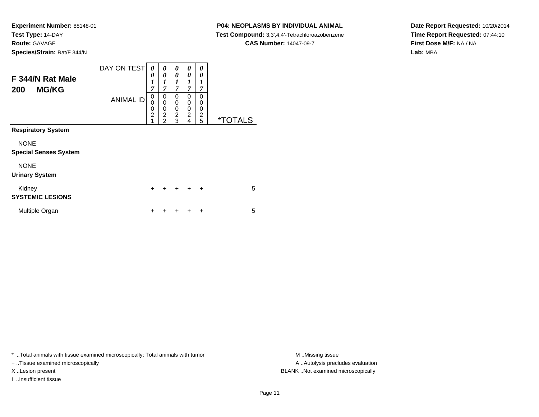# **P04: NEOPLASMS BY INDIVIDUAL ANIMAL**

**Test Compound:** 3,3',4,4'-Tetrachloroazobenzene

**CAS Number:** 14047-09-7

**Date Report Requested:** 10/20/2014**Time Report Requested:** 07:44:10**First Dose M/F:** NA / NA**Lab:** MBA

| F 344/N Rat Male<br><b>MG/KG</b><br>200     | DAY ON TEST<br><b>ANIMAL ID</b> | 0<br>0<br>$\boldsymbol{l}$<br>7<br>0<br>$\mathbf 0$<br>$\mathbf 0$<br>$\overline{2}$<br>1 | 0<br>$\boldsymbol{\theta}$<br>$\boldsymbol{l}$<br>$\overline{7}$<br>0<br>$\mathbf 0$<br>$\mathbf 0$<br>$\overline{2}$<br>$\mathfrak{p}$ | 0<br>0<br>1<br>7<br>0<br>$\mathbf 0$<br>0<br>$\overline{2}$<br>3 | 0<br>0<br>1<br>7<br>0<br>0<br>$\mathbf 0$<br>$\overline{2}$<br>$\overline{4}$ | 0<br>0<br>1<br>7<br>0<br>0<br>0<br>$\overline{2}$<br>5 | <i><b>*TOTALS</b></i> |
|---------------------------------------------|---------------------------------|-------------------------------------------------------------------------------------------|-----------------------------------------------------------------------------------------------------------------------------------------|------------------------------------------------------------------|-------------------------------------------------------------------------------|--------------------------------------------------------|-----------------------|
| <b>Respiratory System</b>                   |                                 |                                                                                           |                                                                                                                                         |                                                                  |                                                                               |                                                        |                       |
| <b>NONE</b><br><b>Special Senses System</b> |                                 |                                                                                           |                                                                                                                                         |                                                                  |                                                                               |                                                        |                       |
| <b>NONE</b><br><b>Urinary System</b>        |                                 |                                                                                           |                                                                                                                                         |                                                                  |                                                                               |                                                        |                       |
| Kidney<br><b>SYSTEMIC LESIONS</b>           |                                 | $\ddot{}$                                                                                 | $\ddot{}$                                                                                                                               | $\ddot{}$                                                        | $\div$                                                                        | $\ddot{}$                                              | 5                     |
| Multiple Organ                              |                                 | +                                                                                         |                                                                                                                                         |                                                                  |                                                                               | +                                                      | 5                     |

\* ..Total animals with tissue examined microscopically; Total animals with tumor **M** . Missing tissue M ..Missing tissue

+ ..Tissue examined microscopically

I ..Insufficient tissue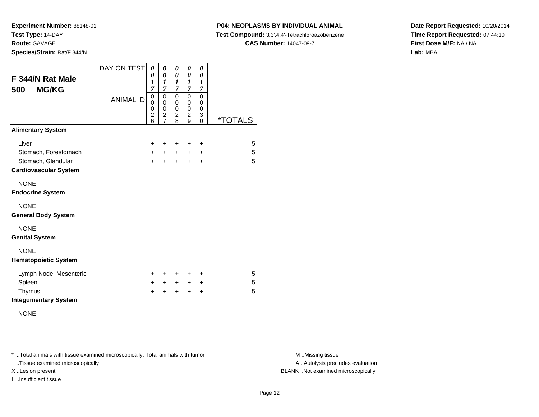#### **P04: NEOPLASMS BY INDIVIDUAL ANIMAL**

**Test Compound:** 3,3',4,4'-Tetrachloroazobenzene

**CAS Number:** 14047-09-7

**Date Report Requested:** 10/20/2014**Time Report Requested:** 07:44:10**First Dose M/F:** NA / NA**Lab:** MBA

| F 344/N Rat Male<br><b>MG/KG</b><br>500 | DAY ON TEST<br><b>ANIMAL ID</b> | 0<br>0<br>$\boldsymbol{l}$<br>7<br>0<br>0<br>0<br>$\overline{c}$<br>6 | 0<br>0<br>1<br>7<br>0<br>$\mathbf 0$<br>0<br>$\overline{\mathbf{c}}$<br>$\overline{7}$ | 0<br>$\boldsymbol{\theta}$<br>1<br>7<br>0<br>0<br>0<br>$\frac{2}{8}$ | 0<br>$\boldsymbol{\theta}$<br>$\boldsymbol{l}$<br>7<br>0<br>0<br>$\mathbf 0$<br>$\overline{c}$<br>9 | 0<br>0<br>1<br>7<br>0<br>0<br>$\mathbf 0$<br>3<br>0 | <i><b>*TOTALS</b></i> |
|-----------------------------------------|---------------------------------|-----------------------------------------------------------------------|----------------------------------------------------------------------------------------|----------------------------------------------------------------------|-----------------------------------------------------------------------------------------------------|-----------------------------------------------------|-----------------------|
| <b>Alimentary System</b>                |                                 |                                                                       |                                                                                        |                                                                      |                                                                                                     |                                                     |                       |
| Liver                                   |                                 | $\ddot{}$                                                             | +                                                                                      | $\ddot{}$                                                            | +                                                                                                   | ÷                                                   | 5                     |
| Stomach, Forestomach                    |                                 | $+$                                                                   | $+$                                                                                    | $+$                                                                  | $+$                                                                                                 | $\ddot{}$                                           | 5                     |
| Stomach, Glandular                      |                                 | $\ddot{}$                                                             | $\ddot{}$                                                                              | $+$                                                                  | $+$                                                                                                 | $\ddot{}$                                           | 5                     |
| <b>Cardiovascular System</b>            |                                 |                                                                       |                                                                                        |                                                                      |                                                                                                     |                                                     |                       |
| <b>NONE</b>                             |                                 |                                                                       |                                                                                        |                                                                      |                                                                                                     |                                                     |                       |
| <b>Endocrine System</b>                 |                                 |                                                                       |                                                                                        |                                                                      |                                                                                                     |                                                     |                       |
| <b>NONE</b>                             |                                 |                                                                       |                                                                                        |                                                                      |                                                                                                     |                                                     |                       |
| <b>General Body System</b>              |                                 |                                                                       |                                                                                        |                                                                      |                                                                                                     |                                                     |                       |
| <b>NONE</b>                             |                                 |                                                                       |                                                                                        |                                                                      |                                                                                                     |                                                     |                       |
| <b>Genital System</b>                   |                                 |                                                                       |                                                                                        |                                                                      |                                                                                                     |                                                     |                       |
| <b>NONE</b>                             |                                 |                                                                       |                                                                                        |                                                                      |                                                                                                     |                                                     |                       |
| <b>Hematopoietic System</b>             |                                 |                                                                       |                                                                                        |                                                                      |                                                                                                     |                                                     |                       |
| Lymph Node, Mesenteric                  |                                 | $\pm$                                                                 | ÷                                                                                      | $\ddot{}$                                                            | ÷                                                                                                   | ÷                                                   | 5                     |
| Spleen                                  |                                 | $+$                                                                   | $+$ $-$                                                                                | $+$                                                                  | $+$                                                                                                 | $\ddot{}$                                           | 5                     |
| Thymus                                  |                                 | +                                                                     | +                                                                                      | $\ddot{}$                                                            | $\ddot{}$                                                                                           | $\ddot{}$                                           | 5                     |
| <b>Integumentary System</b>             |                                 |                                                                       |                                                                                        |                                                                      |                                                                                                     |                                                     |                       |

NONE

\* ..Total animals with tissue examined microscopically; Total animals with tumor **M** . Missing tissue M ..Missing tissue

+ ..Tissue examined microscopically

I ..Insufficient tissue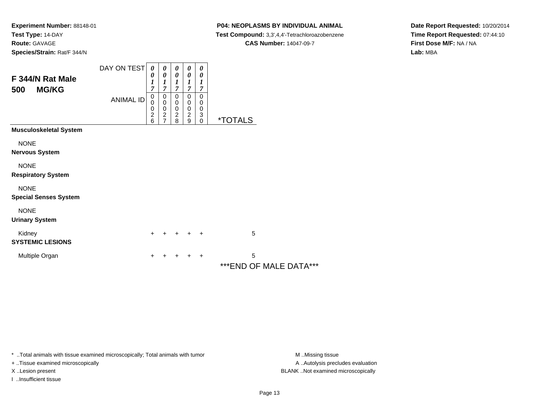#### **P04: NEOPLASMS BY INDIVIDUAL ANIMAL**

**Test Compound:** 3,3',4,4'-Tetrachloroazobenzene

**CAS Number:** 14047-09-7

**Date Report Requested:** 10/20/2014**Time Report Requested:** 07:44:10**First Dose M/F:** NA / NA**Lab:** MBA

| F 344/N Rat Male                            | DAY ON TEST      | 0<br>0                                 | 0<br>0                                 | 0<br>0                                                                              | 0<br>0                                               | 0<br>$\boldsymbol{\theta}$                                                   |                              |
|---------------------------------------------|------------------|----------------------------------------|----------------------------------------|-------------------------------------------------------------------------------------|------------------------------------------------------|------------------------------------------------------------------------------|------------------------------|
| <b>MG/KG</b><br>500                         | <b>ANIMAL ID</b> | 1<br>7<br>0<br>0<br>0<br>$\frac{2}{6}$ | 1<br>7<br>0<br>0<br>0<br>$\frac{2}{7}$ | $\boldsymbol{l}$<br>7<br>0<br>$\,0\,$<br>$\begin{array}{c} 0 \\ 2 \\ 8 \end{array}$ | 1<br>7<br>0<br>0<br>$\,0\,$<br>$\boldsymbol{2}$<br>9 | 1<br>7<br>0<br>0<br>$\,0\,$<br>$\begin{smallmatrix} 3 \ 0 \end{smallmatrix}$ | <i><b>*TOTALS</b></i>        |
| <b>Musculoskeletal System</b>               |                  |                                        |                                        |                                                                                     |                                                      |                                                                              |                              |
| <b>NONE</b><br>Nervous System               |                  |                                        |                                        |                                                                                     |                                                      |                                                                              |                              |
| <b>NONE</b><br><b>Respiratory System</b>    |                  |                                        |                                        |                                                                                     |                                                      |                                                                              |                              |
| <b>NONE</b><br><b>Special Senses System</b> |                  |                                        |                                        |                                                                                     |                                                      |                                                                              |                              |
| <b>NONE</b><br><b>Urinary System</b>        |                  |                                        |                                        |                                                                                     |                                                      |                                                                              |                              |
| Kidney<br><b>SYSTEMIC LESIONS</b>           |                  | $+$                                    |                                        | $\ddot{}$                                                                           | $+$                                                  | $+$                                                                          | 5                            |
| Multiple Organ                              |                  | +                                      |                                        |                                                                                     | $\div$                                               | $\overline{+}$                                                               | 5<br>*** END OF MALE DATA*** |

\* ..Total animals with tissue examined microscopically; Total animals with tumor **M** . Missing tissue M ..Missing tissue

+ ..Tissue examined microscopically

I ..Insufficient tissue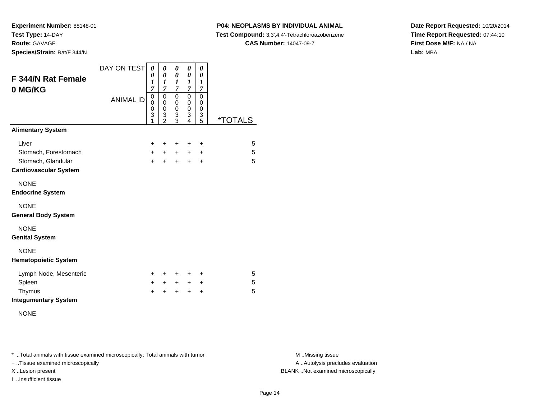**Experiment Number:** 88148-01**Test Type:** 14-DAY**Route:** GAVAGE

**Species/Strain:** Rat/F 344/N

## **P04: NEOPLASMS BY INDIVIDUAL ANIMAL**

**Test Compound:** 3,3',4,4'-Tetrachloroazobenzene

**CAS Number:** 14047-09-7

**Date Report Requested:** 10/20/2014**Time Report Requested:** 07:44:10**First Dose M/F:** NA / NA**Lab:** MBA

| F 344/N Rat Female           | DAY ON TEST      | 0<br>0<br>1 | 0<br>0<br>1              | 0<br>0<br>$\boldsymbol{l}$ | 0<br>0<br>1                        | 0<br>0<br>1           |                       |
|------------------------------|------------------|-------------|--------------------------|----------------------------|------------------------------------|-----------------------|-----------------------|
| 0 MG/KG                      | <b>ANIMAL ID</b> | 7<br>0<br>0 | 7<br>0<br>$\mathbf 0$    | $\overline{7}$<br>0<br>0   | 7<br>0<br>0                        | 7<br>0<br>$\mathbf 0$ |                       |
|                              |                  | 0<br>3<br>1 | 0<br>3<br>$\overline{2}$ | 0<br>3<br>$\overline{3}$   | $\mathbf 0$<br>3<br>$\overline{4}$ | $\mathbf 0$<br>3<br>5 | <i><b>*TOTALS</b></i> |
| <b>Alimentary System</b>     |                  |             |                          |                            |                                    |                       |                       |
| Liver                        |                  | $\pm$       | ÷                        | ÷                          | ÷                                  | $\ddot{}$             | 5                     |
| Stomach, Forestomach         |                  | $+$         | $+$                      | $+$                        | $+$                                | $\ddot{}$             | 5                     |
| Stomach, Glandular           |                  | $+$         | $+$                      | $\pm$                      | $\pm$                              | $\ddot{}$             | 5                     |
| <b>Cardiovascular System</b> |                  |             |                          |                            |                                    |                       |                       |
| <b>NONE</b>                  |                  |             |                          |                            |                                    |                       |                       |
| <b>Endocrine System</b>      |                  |             |                          |                            |                                    |                       |                       |
| <b>NONE</b>                  |                  |             |                          |                            |                                    |                       |                       |
| <b>General Body System</b>   |                  |             |                          |                            |                                    |                       |                       |
| <b>NONE</b>                  |                  |             |                          |                            |                                    |                       |                       |
| <b>Genital System</b>        |                  |             |                          |                            |                                    |                       |                       |
| <b>NONE</b>                  |                  |             |                          |                            |                                    |                       |                       |
| <b>Hematopoietic System</b>  |                  |             |                          |                            |                                    |                       |                       |
| Lymph Node, Mesenteric       |                  | +           | +                        | +                          | +                                  | $\pm$                 | 5                     |
| Spleen                       |                  | $+$         | $+$                      | $+$                        | $+$                                | $\ddot{}$             | 5                     |
| Thymus                       |                  | $\div$      | $\ddot{}$                | $\ddot{}$                  | $\ddot{}$                          | $\ddot{}$             | 5                     |
| <b>Integumentary System</b>  |                  |             |                          |                            |                                    |                       |                       |

NONE

\* ..Total animals with tissue examined microscopically; Total animals with tumor **M** . Missing tissue M ..Missing tissue

+ ..Tissue examined microscopically

I ..Insufficient tissue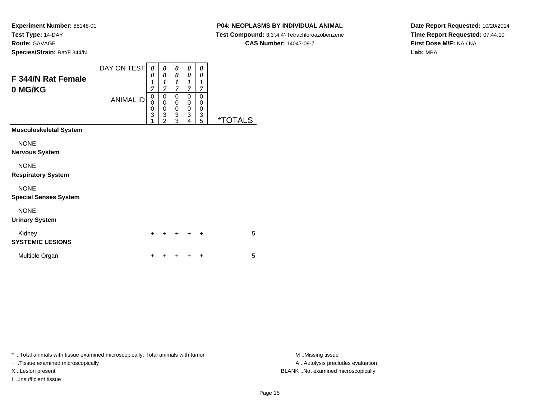## **P04: NEOPLASMS BY INDIVIDUAL ANIMAL**

**Test Compound:** 3,3',4,4'-Tetrachloroazobenzene

**CAS Number:** 14047-09-7

**Date Report Requested:** 10/20/2014**Time Report Requested:** 07:44:10**First Dose M/F:** NA / NA**Lab:** MBA

| F 344/N Rat Female<br>0 MG/KG               | DAY ON TEST<br><b>ANIMAL ID</b> | 0<br>0<br>1<br>7<br>$\mathbf 0$<br>0<br>0<br>$\overline{3}$<br>1 | 0<br>0<br>$\boldsymbol{l}$<br>$\overline{7}$<br>$\mathbf 0$<br>$\pmb{0}$<br>$\begin{array}{c} 0 \\ 3 \\ 2 \end{array}$ | 0<br>0<br>1<br>$\overline{7}$<br>0<br>0<br>$\begin{smallmatrix}0\0\3\end{smallmatrix}$<br>$\overline{3}$ | 0<br>0<br>1<br>$\overline{7}$<br>0<br>$\boldsymbol{0}$<br>$\begin{smallmatrix} 0\\ 3 \end{smallmatrix}$<br>4 | 0<br>0<br>1<br>$\overline{7}$<br>$\mathbf 0$<br>$\mathbf 0$<br>$\begin{array}{c} 0 \\ 3 \\ 5 \end{array}$ | <i><b>*TOTALS</b></i> |
|---------------------------------------------|---------------------------------|------------------------------------------------------------------|------------------------------------------------------------------------------------------------------------------------|----------------------------------------------------------------------------------------------------------|--------------------------------------------------------------------------------------------------------------|-----------------------------------------------------------------------------------------------------------|-----------------------|
| Musculoskeletal System                      |                                 |                                                                  |                                                                                                                        |                                                                                                          |                                                                                                              |                                                                                                           |                       |
| <b>NONE</b><br>Nervous System               |                                 |                                                                  |                                                                                                                        |                                                                                                          |                                                                                                              |                                                                                                           |                       |
| <b>NONE</b><br><b>Respiratory System</b>    |                                 |                                                                  |                                                                                                                        |                                                                                                          |                                                                                                              |                                                                                                           |                       |
| <b>NONE</b><br><b>Special Senses System</b> |                                 |                                                                  |                                                                                                                        |                                                                                                          |                                                                                                              |                                                                                                           |                       |
| <b>NONE</b><br><b>Urinary System</b>        |                                 |                                                                  |                                                                                                                        |                                                                                                          |                                                                                                              |                                                                                                           |                       |
| Kidney<br><b>SYSTEMIC LESIONS</b>           |                                 | $\ddot{}$                                                        |                                                                                                                        |                                                                                                          | +                                                                                                            | $\ddot{}$                                                                                                 | 5                     |
| Multiple Organ                              |                                 | $\ddot{}$                                                        |                                                                                                                        |                                                                                                          |                                                                                                              | $\ddot{}$                                                                                                 | 5                     |

\* ..Total animals with tissue examined microscopically; Total animals with tumor **M** . Missing tissue M ..Missing tissue

+ ..Tissue examined microscopically

I ..Insufficient tissue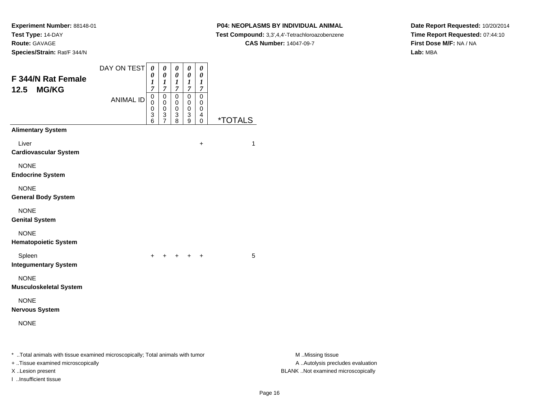#### **P04: NEOPLASMS BY INDIVIDUAL ANIMAL**

**Test Compound:** 3,3',4,4'-Tetrachloroazobenzene

**CAS Number:** 14047-09-7

**Date Report Requested:** 10/20/2014**Time Report Requested:** 07:44:10**First Dose M/F:** NA / NA**Lab:** MBA

| F 344/N Rat Female<br><b>MG/KG</b><br>12.5                                                                                              | DAY ON TEST<br><b>ANIMAL ID</b> | $\pmb{\theta}$<br>0<br>1<br>7<br>0<br>0<br>0<br>3 | 0<br>$\boldsymbol{\theta}$<br>1<br>$\overline{7}$<br>0<br>0<br>0<br>3 | $\boldsymbol{\theta}$<br>$\boldsymbol{\theta}$<br>$\boldsymbol{l}$<br>$\overline{7}$<br>0<br>$\mathbf 0$<br>$\pmb{0}$<br>3 | $\pmb{\theta}$<br>$\pmb{\theta}$<br>$\boldsymbol{l}$<br>$\boldsymbol{7}$<br>$\mathbf 0$<br>0<br>$\pmb{0}$<br>3 | $\pmb{\theta}$<br>$\pmb{\theta}$<br>$\boldsymbol{l}$<br>$\overline{7}$<br>$\mathbf 0$<br>$\mathbf 0$<br>$\mathbf 0$<br>4 |                       |                                                                                             |
|-----------------------------------------------------------------------------------------------------------------------------------------|---------------------------------|---------------------------------------------------|-----------------------------------------------------------------------|----------------------------------------------------------------------------------------------------------------------------|----------------------------------------------------------------------------------------------------------------|--------------------------------------------------------------------------------------------------------------------------|-----------------------|---------------------------------------------------------------------------------------------|
| <b>Alimentary System</b>                                                                                                                |                                 | 6                                                 | $\overline{7}$                                                        | 8                                                                                                                          | 9                                                                                                              | $\pmb{0}$                                                                                                                | <i><b>*TOTALS</b></i> |                                                                                             |
| Liver<br><b>Cardiovascular System</b>                                                                                                   |                                 |                                                   |                                                                       |                                                                                                                            |                                                                                                                | $\ddot{}$                                                                                                                | 1                     |                                                                                             |
| <b>NONE</b><br><b>Endocrine System</b>                                                                                                  |                                 |                                                   |                                                                       |                                                                                                                            |                                                                                                                |                                                                                                                          |                       |                                                                                             |
| <b>NONE</b><br><b>General Body System</b>                                                                                               |                                 |                                                   |                                                                       |                                                                                                                            |                                                                                                                |                                                                                                                          |                       |                                                                                             |
| <b>NONE</b><br><b>Genital System</b>                                                                                                    |                                 |                                                   |                                                                       |                                                                                                                            |                                                                                                                |                                                                                                                          |                       |                                                                                             |
| <b>NONE</b><br><b>Hematopoietic System</b>                                                                                              |                                 |                                                   |                                                                       |                                                                                                                            |                                                                                                                |                                                                                                                          |                       |                                                                                             |
| Spleen<br><b>Integumentary System</b>                                                                                                   |                                 | $+$                                               | $+$                                                                   | $+$ $+$                                                                                                                    |                                                                                                                | $\overline{+}$                                                                                                           | 5                     |                                                                                             |
| <b>NONE</b><br><b>Musculoskeletal System</b>                                                                                            |                                 |                                                   |                                                                       |                                                                                                                            |                                                                                                                |                                                                                                                          |                       |                                                                                             |
| <b>NONE</b><br><b>Nervous System</b>                                                                                                    |                                 |                                                   |                                                                       |                                                                                                                            |                                                                                                                |                                                                                                                          |                       |                                                                                             |
| <b>NONE</b>                                                                                                                             |                                 |                                                   |                                                                       |                                                                                                                            |                                                                                                                |                                                                                                                          |                       |                                                                                             |
| * Total animals with tissue examined microscopically; Total animals with tumor<br>+ Tissue examined microscopically<br>X.Lesion present |                                 |                                                   |                                                                       |                                                                                                                            |                                                                                                                |                                                                                                                          |                       | M Missing tissue<br>A  Autolysis precludes evaluation<br>BLANK Not examined microscopically |

I ..Insufficient tissue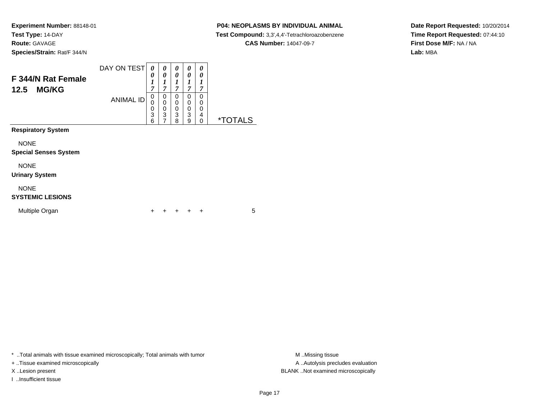#### **P04: NEOPLASMS BY INDIVIDUAL ANIMAL**

**Test Compound:** 3,3',4,4'-Tetrachloroazobenzene

**CAS Number:** 14047-09-7

**Date Report Requested:** 10/20/2014**Time Report Requested:** 07:44:10**First Dose M/F:** NA / NA**Lab:** MBA

| F 344/N Rat Female<br><b>MG/KG</b><br>12.5  | DAY ON TEST<br><b>ANIMAL ID</b> | 0<br>0<br>1<br>7<br>0<br>0<br>0 | 0<br>0<br>1<br>7<br>0<br>$\mathbf 0$<br>0 | 0<br>0<br>1<br>$\overline{7}$<br>$\Omega$<br>$\mathbf 0$<br>0 | 0<br>0<br>1<br>$\overline{7}$<br>0<br>0<br>0 | 0<br>0<br>1<br>7<br>0<br>0<br>0 |                       |
|---------------------------------------------|---------------------------------|---------------------------------|-------------------------------------------|---------------------------------------------------------------|----------------------------------------------|---------------------------------|-----------------------|
|                                             |                                 | 3<br>6                          | 3<br>7                                    | 3<br>8                                                        | 3<br>9                                       | 4<br>0                          | <i><b>*TOTALS</b></i> |
| <b>Respiratory System</b>                   |                                 |                                 |                                           |                                                               |                                              |                                 |                       |
| <b>NONE</b><br><b>Special Senses System</b> |                                 |                                 |                                           |                                                               |                                              |                                 |                       |
| <b>NONE</b><br><b>Urinary System</b>        |                                 |                                 |                                           |                                                               |                                              |                                 |                       |
| <b>NONE</b><br><b>SYSTEMIC LESIONS</b>      |                                 |                                 |                                           |                                                               |                                              |                                 |                       |
| Multiple Organ                              |                                 | +                               |                                           |                                                               |                                              | ٠                               | 5                     |

\* ..Total animals with tissue examined microscopically; Total animals with tumor **M** . Missing tissue M ..Missing tissue

+ ..Tissue examined microscopically

I ..Insufficient tissue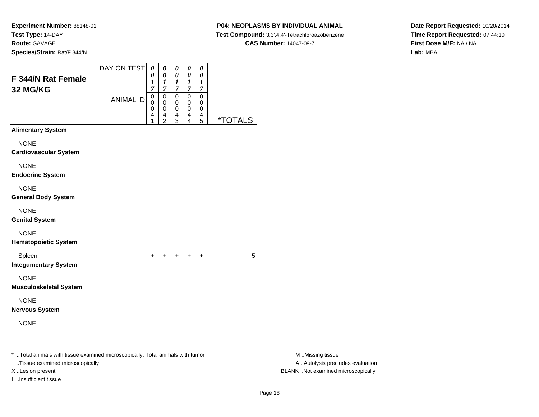# **P04: NEOPLASMS BY INDIVIDUAL ANIMAL**

**Test Compound:** 3,3',4,4'-Tetrachloroazobenzene

**CAS Number:** 14047-09-7

**Date Report Requested:** 10/20/2014**Time Report Requested:** 07:44:10**First Dose M/F:** NA / NA**Lab:** MBA

| F 344/N Rat Female<br><b>32 MG/KG</b>                                                                               |                  | 0<br>1<br>7                     | 0<br>$\boldsymbol{l}$<br>$\overline{7}$                | $\pmb{\theta}$<br>$\boldsymbol{l}$<br>$\boldsymbol{7}$ | $\pmb{\theta}$<br>$\boldsymbol{l}$<br>$\boldsymbol{7}$   | $\boldsymbol{\theta}$<br>$\bm{l}$<br>$\overline{7}$            |                       |                                                       |  |
|---------------------------------------------------------------------------------------------------------------------|------------------|---------------------------------|--------------------------------------------------------|--------------------------------------------------------|----------------------------------------------------------|----------------------------------------------------------------|-----------------------|-------------------------------------------------------|--|
|                                                                                                                     | <b>ANIMAL ID</b> | $\mathbf 0$<br>0<br>0<br>4<br>1 | $\pmb{0}$<br>$\pmb{0}$<br>$\mathbf 0$<br>$\frac{4}{2}$ | $\pmb{0}$<br>0<br>$\pmb{0}$<br>$\frac{4}{3}$           | $\mathsf{O}\xspace$<br>$\mathbf 0$<br>0<br>$\frac{4}{4}$ | $\mathbf 0$<br>0<br>0<br>$\overline{\mathbf{r}}$<br>$\sqrt{5}$ | <i><b>*TOTALS</b></i> |                                                       |  |
| <b>Alimentary System</b>                                                                                            |                  |                                 |                                                        |                                                        |                                                          |                                                                |                       |                                                       |  |
| <b>NONE</b><br><b>Cardiovascular System</b>                                                                         |                  |                                 |                                                        |                                                        |                                                          |                                                                |                       |                                                       |  |
| <b>NONE</b><br><b>Endocrine System</b>                                                                              |                  |                                 |                                                        |                                                        |                                                          |                                                                |                       |                                                       |  |
| <b>NONE</b><br><b>General Body System</b>                                                                           |                  |                                 |                                                        |                                                        |                                                          |                                                                |                       |                                                       |  |
| <b>NONE</b><br><b>Genital System</b>                                                                                |                  |                                 |                                                        |                                                        |                                                          |                                                                |                       |                                                       |  |
| <b>NONE</b><br><b>Hematopoietic System</b>                                                                          |                  |                                 |                                                        |                                                        |                                                          |                                                                |                       |                                                       |  |
| Spleen<br><b>Integumentary System</b>                                                                               |                  | $+$                             | $+$                                                    |                                                        | $+$ $+$ $+$                                              |                                                                | 5                     |                                                       |  |
| <b>NONE</b><br><b>Musculoskeletal System</b>                                                                        |                  |                                 |                                                        |                                                        |                                                          |                                                                |                       |                                                       |  |
| <b>NONE</b><br>Nervous System                                                                                       |                  |                                 |                                                        |                                                        |                                                          |                                                                |                       |                                                       |  |
| <b>NONE</b>                                                                                                         |                  |                                 |                                                        |                                                        |                                                          |                                                                |                       |                                                       |  |
| * Total animals with tissue examined microscopically; Total animals with tumor<br>+ Tissue examined microscopically |                  |                                 |                                                        |                                                        |                                                          |                                                                |                       | M Missing tissue<br>A  Autolysis precludes evaluation |  |
| X Lesion present                                                                                                    |                  |                                 |                                                        |                                                        |                                                          |                                                                |                       | BLANK Not examined microscopically                    |  |

DAY ON TEST*00000*

I ..Insufficient tissue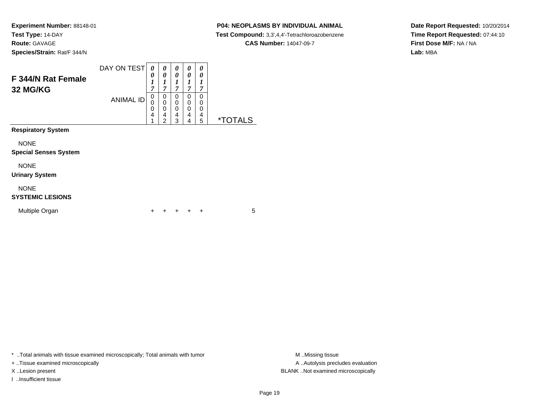# **P04: NEOPLASMS BY INDIVIDUAL ANIMAL**

**Test Compound:** 3,3',4,4'-Tetrachloroazobenzene

**CAS Number:** 14047-09-7

**Date Report Requested:** 10/20/2014**Time Report Requested:** 07:44:10**First Dose M/F:** NA / NA**Lab:** MBA

| F 344/N Rat Female<br>32 MG/KG              | DAY ON TEST<br><b>ANIMAL ID</b> | 0<br>0<br>1<br>7<br>$\mathbf 0$<br>$\Omega$<br>0<br>4<br>1 | 0<br>0<br>1<br>7<br>$\Omega$<br>0<br>0<br>4<br>$\overline{2}$ | 0<br>0<br>$\boldsymbol{l}$<br>$\overline{7}$<br>0<br>$\mathbf 0$<br>$\Omega$<br>4<br>3 | 0<br>0<br>1<br>$\overline{7}$<br>0<br>0<br>0<br>4<br>4 | 0<br>0<br>1<br>7<br>0<br>0<br>0<br>4<br>5 | <i><b>*TOTALS</b></i> |
|---------------------------------------------|---------------------------------|------------------------------------------------------------|---------------------------------------------------------------|----------------------------------------------------------------------------------------|--------------------------------------------------------|-------------------------------------------|-----------------------|
| <b>Respiratory System</b>                   |                                 |                                                            |                                                               |                                                                                        |                                                        |                                           |                       |
| <b>NONE</b><br><b>Special Senses System</b> |                                 |                                                            |                                                               |                                                                                        |                                                        |                                           |                       |
| <b>NONE</b><br><b>Urinary System</b>        |                                 |                                                            |                                                               |                                                                                        |                                                        |                                           |                       |
| <b>NONE</b><br><b>SYSTEMIC LESIONS</b>      |                                 |                                                            |                                                               |                                                                                        |                                                        |                                           |                       |
| Multiple Organ                              |                                 |                                                            |                                                               |                                                                                        |                                                        | ÷                                         | 5                     |

\* ..Total animals with tissue examined microscopically; Total animals with tumor **M** . Missing tissue M ..Missing tissue

+ ..Tissue examined microscopically

I ..Insufficient tissue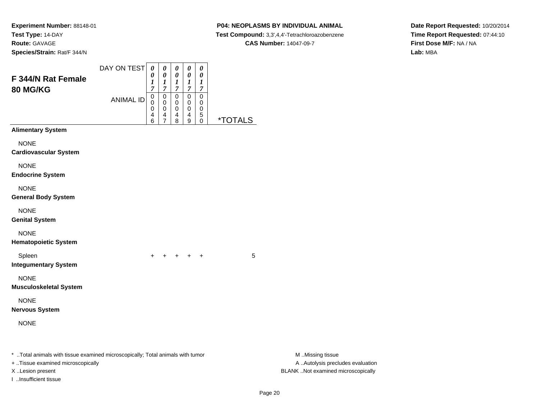# **P04: NEOPLASMS BY INDIVIDUAL ANIMAL**

 **Test Compound:** 3,3',4,4'-Tetrachloroazobenzene**CAS Number:** 14047-09-7

**Date Report Requested:** 10/20/2014**Time Report Requested:** 07:44:10**First Dose M/F:** NA / NA**Lab:** MBA

| F 344/N Rat Female<br>80 MG/KG                                                                                                                                    | DAY ON TEST      | $\boldsymbol{\theta}$<br>0<br>$\boldsymbol{l}$<br>$\overline{7}$<br>$\,0\,$ | $\pmb{\theta}$<br>0<br>$\boldsymbol{l}$<br>$\overline{7}$<br>$\pmb{0}$ | $\pmb{\theta}$<br>0<br>$\boldsymbol{l}$<br>$\boldsymbol{7}$<br>$\pmb{0}$ | $\pmb{\theta}$<br>0<br>$\boldsymbol{l}$<br>$\overline{7}$<br>$\pmb{0}$ | 0<br>0<br>$\boldsymbol{l}$<br>$\boldsymbol{7}$<br>$\pmb{0}$ |                       |                                                                                             |
|-------------------------------------------------------------------------------------------------------------------------------------------------------------------|------------------|-----------------------------------------------------------------------------|------------------------------------------------------------------------|--------------------------------------------------------------------------|------------------------------------------------------------------------|-------------------------------------------------------------|-----------------------|---------------------------------------------------------------------------------------------|
|                                                                                                                                                                   | <b>ANIMAL ID</b> | $\mathbf 0$<br>0<br>4<br>6                                                  | 0<br>0<br>$\overline{\mathbf{4}}$<br>$\overline{7}$                    | 0<br>0<br>$^{\,4}_{\,8}$                                                 | 0<br>0<br>$\overline{4}$<br>9                                          | 0<br>0<br>5<br>$\pmb{0}$                                    | <i><b>*TOTALS</b></i> |                                                                                             |
| <b>Alimentary System</b><br><b>NONE</b><br><b>Cardiovascular System</b>                                                                                           |                  |                                                                             |                                                                        |                                                                          |                                                                        |                                                             |                       |                                                                                             |
| <b>NONE</b><br><b>Endocrine System</b>                                                                                                                            |                  |                                                                             |                                                                        |                                                                          |                                                                        |                                                             |                       |                                                                                             |
| <b>NONE</b><br><b>General Body System</b>                                                                                                                         |                  |                                                                             |                                                                        |                                                                          |                                                                        |                                                             |                       |                                                                                             |
| <b>NONE</b><br><b>Genital System</b>                                                                                                                              |                  |                                                                             |                                                                        |                                                                          |                                                                        |                                                             |                       |                                                                                             |
| <b>NONE</b><br><b>Hematopoietic System</b>                                                                                                                        |                  |                                                                             |                                                                        |                                                                          |                                                                        |                                                             |                       |                                                                                             |
| Spleen<br><b>Integumentary System</b>                                                                                                                             |                  |                                                                             |                                                                        | $+$                                                                      | $+$                                                                    | $\div$                                                      | 5                     |                                                                                             |
| <b>NONE</b><br><b>Musculoskeletal System</b>                                                                                                                      |                  |                                                                             |                                                                        |                                                                          |                                                                        |                                                             |                       |                                                                                             |
| <b>NONE</b><br><b>Nervous System</b>                                                                                                                              |                  |                                                                             |                                                                        |                                                                          |                                                                        |                                                             |                       |                                                                                             |
| <b>NONE</b>                                                                                                                                                       |                  |                                                                             |                                                                        |                                                                          |                                                                        |                                                             |                       |                                                                                             |
| *  Total animals with tissue examined microscopically; Total animals with tumor<br>+ Tissue examined microscopically<br>X Lesion present<br>I Insufficient tissue |                  |                                                                             |                                                                        |                                                                          |                                                                        |                                                             |                       | M Missing tissue<br>A  Autolysis precludes evaluation<br>BLANK Not examined microscopically |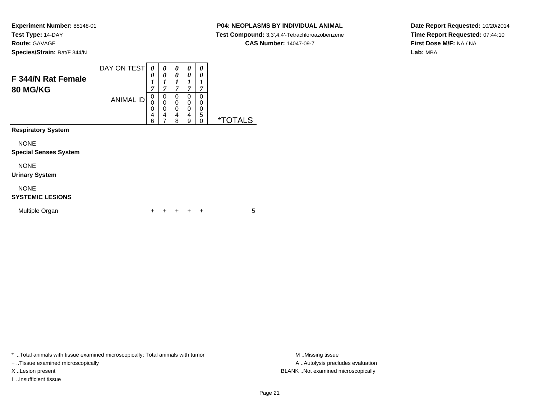# **P04: NEOPLASMS BY INDIVIDUAL ANIMAL**

**Test Compound:** 3,3',4,4'-Tetrachloroazobenzene

**Date Report Requested:** 10/20/2014**Time Report Requested:** 07:44:10**First Dose M/F:** NA / NA**Lab:** MBA

|  | <b>CAS Number: 14047-09-7</b> |
|--|-------------------------------|
|  |                               |

| F 344/N Rat Female<br><b>80 MG/KG</b>       | DAY ON TEST      | 0<br>0<br>1<br>7      | 0<br>0<br>1<br>7      | 0<br>0<br>7           | 0<br>0<br>1<br>7      | 0<br>0<br>1<br>7                 |                       |
|---------------------------------------------|------------------|-----------------------|-----------------------|-----------------------|-----------------------|----------------------------------|-----------------------|
|                                             | <b>ANIMAL ID</b> | 0<br>0<br>0<br>4<br>6 | 0<br>0<br>0<br>4<br>7 | 0<br>0<br>0<br>4<br>8 | 0<br>0<br>0<br>4<br>9 | 0<br>0<br>0<br>5<br>$\mathbf{0}$ | <i><b>*TOTALS</b></i> |
| <b>Respiratory System</b>                   |                  |                       |                       |                       |                       |                                  |                       |
| <b>NONE</b><br><b>Special Senses System</b> |                  |                       |                       |                       |                       |                                  |                       |
| <b>NONE</b><br><b>Urinary System</b>        |                  |                       |                       |                       |                       |                                  |                       |
| <b>NONE</b><br><b>SYSTEMIC LESIONS</b>      |                  |                       |                       |                       |                       |                                  |                       |
| Multiple Organ                              |                  | ÷                     |                       |                       | ÷                     | ÷                                | 5                     |

\* ..Total animals with tissue examined microscopically; Total animals with tumor **M** . Missing tissue M ..Missing tissue

+ ..Tissue examined microscopically

I ..Insufficient tissue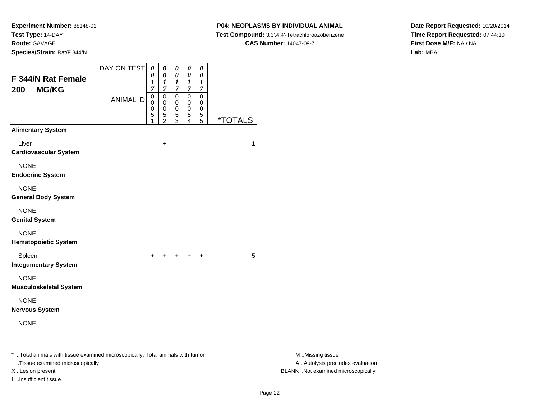#### **P04: NEOPLASMS BY INDIVIDUAL ANIMAL**

**Test Compound:** 3,3',4,4'-Tetrachloroazobenzene

**CAS Number:** 14047-09-7

**Date Report Requested:** 10/20/2014**Time Report Requested:** 07:44:10**First Dose M/F:** NA / NA**Lab:** MBA

| F 344/N Rat Female<br><b>MG/KG</b><br>200                                                                                               | DAY ON TEST      | $\boldsymbol{\theta}$<br>$\theta$<br>1<br>7 | $\pmb{\theta}$<br>0<br>1<br>7                                  | 0<br>0<br>$\boldsymbol{l}$<br>$\boldsymbol{7}$               | $\pmb{\theta}$<br>$\pmb{\theta}$<br>$\boldsymbol{l}$<br>$\boldsymbol{7}$ | $\pmb{\theta}$<br>0<br>$\boldsymbol{l}$<br>$\boldsymbol{7}$ |                       |                                                                                             |
|-----------------------------------------------------------------------------------------------------------------------------------------|------------------|---------------------------------------------|----------------------------------------------------------------|--------------------------------------------------------------|--------------------------------------------------------------------------|-------------------------------------------------------------|-----------------------|---------------------------------------------------------------------------------------------|
|                                                                                                                                         | <b>ANIMAL ID</b> | $\pmb{0}$<br>0<br>0<br>5                    | $\pmb{0}$<br>$\mathbf 0$<br>$\mathbf 0$<br>5<br>$\overline{c}$ | $\pmb{0}$<br>$\mathbf 0$<br>$\mathbf 0$<br>5<br>$\mathbf{3}$ | $\pmb{0}$<br>$\mathbf 0$<br>0<br>5<br>4                                  | $\pmb{0}$<br>$\mathbf 0$<br>$\mathbf 0$<br>$\,$ 5 $\,$<br>5 | <i><b>*TOTALS</b></i> |                                                                                             |
| <b>Alimentary System</b>                                                                                                                |                  |                                             |                                                                |                                                              |                                                                          |                                                             |                       |                                                                                             |
| Liver<br><b>Cardiovascular System</b>                                                                                                   |                  |                                             | $\ddot{}$                                                      |                                                              |                                                                          |                                                             | 1                     |                                                                                             |
| <b>NONE</b><br><b>Endocrine System</b>                                                                                                  |                  |                                             |                                                                |                                                              |                                                                          |                                                             |                       |                                                                                             |
| <b>NONE</b><br><b>General Body System</b>                                                                                               |                  |                                             |                                                                |                                                              |                                                                          |                                                             |                       |                                                                                             |
| <b>NONE</b><br><b>Genital System</b>                                                                                                    |                  |                                             |                                                                |                                                              |                                                                          |                                                             |                       |                                                                                             |
| <b>NONE</b><br><b>Hematopoietic System</b>                                                                                              |                  |                                             |                                                                |                                                              |                                                                          |                                                             |                       |                                                                                             |
| Spleen<br><b>Integumentary System</b>                                                                                                   |                  | $+$                                         | $+$ $+$ $+$                                                    |                                                              |                                                                          | $+$                                                         | 5                     |                                                                                             |
| <b>NONE</b><br><b>Musculoskeletal System</b>                                                                                            |                  |                                             |                                                                |                                                              |                                                                          |                                                             |                       |                                                                                             |
| <b>NONE</b><br><b>Nervous System</b>                                                                                                    |                  |                                             |                                                                |                                                              |                                                                          |                                                             |                       |                                                                                             |
| <b>NONE</b>                                                                                                                             |                  |                                             |                                                                |                                                              |                                                                          |                                                             |                       |                                                                                             |
| * Total animals with tissue examined microscopically; Total animals with tumor<br>+ Tissue examined microscopically<br>X Lesion present |                  |                                             |                                                                |                                                              |                                                                          |                                                             |                       | M Missing tissue<br>A  Autolysis precludes evaluation<br>BLANK Not examined microscopically |

I ..Insufficient tissue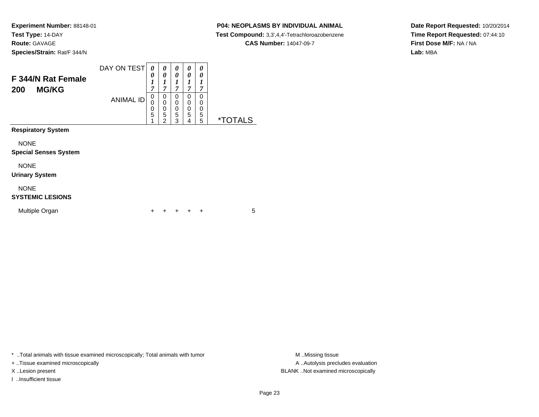#### **P04: NEOPLASMS BY INDIVIDUAL ANIMAL**

**Test Compound:** 3,3',4,4'-Tetrachloroazobenzene

**CAS Number:** 14047-09-7

**Date Report Requested:** 10/20/2014**Time Report Requested:** 07:44:10**First Dose M/F:** NA / NA**Lab:** MBA

| F 344/N Rat Female<br><b>MG/KG</b><br>200   | DAY ON TEST<br><b>ANIMAL ID</b> | 0<br>0<br>1<br>7<br>$\mathbf 0$<br>0 | 0<br>0<br>1<br>7<br>0<br>0 | 0<br>0<br>1<br>$\overline{7}$<br>0<br>0 | 0<br>0<br>1<br>$\overline{7}$<br>0<br>0 | 0<br>0<br>1<br>7<br>0<br>0 |                       |
|---------------------------------------------|---------------------------------|--------------------------------------|----------------------------|-----------------------------------------|-----------------------------------------|----------------------------|-----------------------|
|                                             |                                 | 0<br>5                               | 0<br>5<br>$\mathfrak{p}$   | $\boldsymbol{0}$<br>5<br>3              | 0<br>5<br>4                             | 0<br>5<br>5                | <i><b>*TOTALS</b></i> |
| <b>Respiratory System</b>                   |                                 |                                      |                            |                                         |                                         |                            |                       |
| <b>NONE</b><br><b>Special Senses System</b> |                                 |                                      |                            |                                         |                                         |                            |                       |
| <b>NONE</b><br><b>Urinary System</b>        |                                 |                                      |                            |                                         |                                         |                            |                       |
| <b>NONE</b><br><b>SYSTEMIC LESIONS</b>      |                                 |                                      |                            |                                         |                                         |                            |                       |
| Multiple Organ                              |                                 |                                      |                            |                                         |                                         | ÷                          | 5                     |

\* ..Total animals with tissue examined microscopically; Total animals with tumor **M** . Missing tissue M ..Missing tissue

+ ..Tissue examined microscopically

I ..Insufficient tissue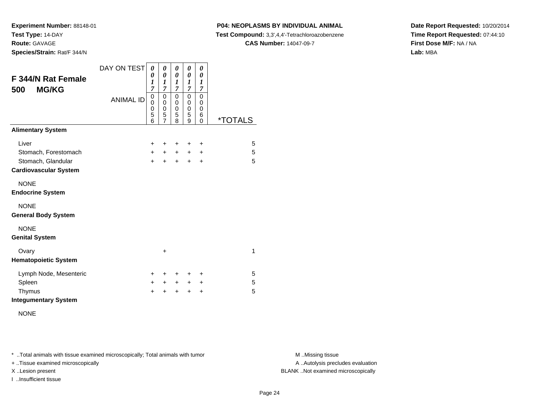**P04: NEOPLASMS BY INDIVIDUAL ANIMAL**

**Test Compound:** 3,3',4,4'-Tetrachloroazobenzene

**CAS Number:** 14047-09-7

**Date Report Requested:** 10/20/2014**Time Report Requested:** 07:44:10**First Dose M/F:** NA / NA**Lab:** MBA

| <b>F 344/N Rat Female</b><br><b>MG/KG</b><br>500 | DAY ON TEST<br><b>ANIMAL ID</b> | 0<br>0<br>1<br>7<br>0<br>$\mathbf 0$<br>0<br>5<br>6 | 0<br>0<br>1<br>$\overline{7}$<br>$\mathbf 0$<br>0<br>$\mathbf 0$<br>5<br>$\overline{7}$ | 0<br>0<br>1<br>7<br>$\mathbf 0$<br>0<br>0<br>5<br>8 | 0<br>0<br>$\boldsymbol{l}$<br>7<br>$\mathbf 0$<br>0<br>0<br>5<br>9 | 0<br>0<br>1<br>7<br>0<br>0<br>0<br>6<br>0 | <i><b>*TOTALS</b></i> |
|--------------------------------------------------|---------------------------------|-----------------------------------------------------|-----------------------------------------------------------------------------------------|-----------------------------------------------------|--------------------------------------------------------------------|-------------------------------------------|-----------------------|
| <b>Alimentary System</b>                         |                                 |                                                     |                                                                                         |                                                     |                                                                    |                                           |                       |
| Liver                                            |                                 | $\pm$                                               | ٠                                                                                       | ÷                                                   | ÷                                                                  | +                                         | 5                     |
| Stomach, Forestomach                             |                                 | $+$                                                 | $+$ $-$                                                                                 | $+$                                                 | $\ddot{}$                                                          | $\ddot{}$                                 | 5                     |
| Stomach, Glandular                               |                                 | $\ddot{}$                                           | $\ddot{}$                                                                               | $\ddot{}$                                           | $\ddot{}$                                                          | $\div$                                    | 5                     |
| <b>Cardiovascular System</b>                     |                                 |                                                     |                                                                                         |                                                     |                                                                    |                                           |                       |
| <b>NONE</b><br><b>Endocrine System</b>           |                                 |                                                     |                                                                                         |                                                     |                                                                    |                                           |                       |
| <b>NONE</b><br><b>General Body System</b>        |                                 |                                                     |                                                                                         |                                                     |                                                                    |                                           |                       |
| <b>NONE</b><br><b>Genital System</b>             |                                 |                                                     |                                                                                         |                                                     |                                                                    |                                           |                       |
| Ovary<br><b>Hematopoietic System</b>             |                                 |                                                     | +                                                                                       |                                                     |                                                                    |                                           | 1                     |
| Lymph Node, Mesenteric                           |                                 | $\pm$                                               | ٠                                                                                       | ÷                                                   | ÷                                                                  | ٠                                         | 5                     |
| Spleen                                           |                                 | $\pm$                                               | $+$                                                                                     | $+$                                                 | $\ddot{}$                                                          | +                                         | 5                     |
| Thymus                                           |                                 | ÷                                                   | +                                                                                       | $\ddot{}$                                           | $\ddot{}$                                                          | $\ddot{}$                                 | 5                     |
| <b>Integumentary System</b>                      |                                 |                                                     |                                                                                         |                                                     |                                                                    |                                           |                       |

NONE

\* ..Total animals with tissue examined microscopically; Total animals with tumor **M** . Missing tissue M ..Missing tissue

+ ..Tissue examined microscopically

I ..Insufficient tissue